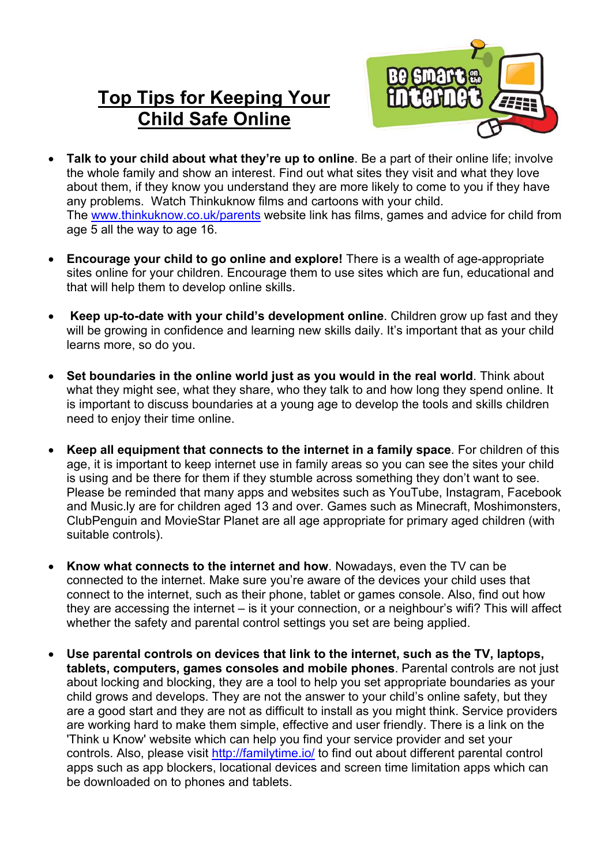## **Top Tips for Keeping Your Child Safe Online**



- **Talk to your child about what they're up to online**. Be a part of their online life; involve the whole family and show an interest. Find out what sites they visit and what they love about them, if they know you understand they are more likely to come to you if they have any problems. Watch Thinkuknow films and cartoons with your child. The www.thinkuknow.co.uk/parents website link has films, games and advice for child from age 5 all the way to age 16.
- **Encourage your child to go online and explore!** There is a wealth of age-appropriate sites online for your children. Encourage them to use sites which are fun, educational and that will help them to develop online skills.
- **Keep up-to-date with your child's development online**. Children grow up fast and they will be growing in confidence and learning new skills daily. It's important that as your child learns more, so do you.
- **Set boundaries in the online world just as you would in the real world**. Think about what they might see, what they share, who they talk to and how long they spend online. It is important to discuss boundaries at a young age to develop the tools and skills children need to enjoy their time online.
- **Keep all equipment that connects to the internet in a family space**. For children of this age, it is important to keep internet use in family areas so you can see the sites your child is using and be there for them if they stumble across something they don't want to see. Please be reminded that many apps and websites such as YouTube, Instagram, Facebook and Music.ly are for children aged 13 and over. Games such as Minecraft, Moshimonsters, ClubPenguin and MovieStar Planet are all age appropriate for primary aged children (with suitable controls).
- **Know what connects to the internet and how**. Nowadays, even the TV can be connected to the internet. Make sure you're aware of the devices your child uses that connect to the internet, such as their phone, tablet or games console. Also, find out how they are accessing the internet – is it your connection, or a neighbour's wifi? This will affect whether the safety and parental control settings you set are being applied.
- **Use parental controls on devices that link to the internet, such as the TV, laptops, tablets, computers, games consoles and mobile phones**. Parental controls are not just about locking and blocking, they are a tool to help you set appropriate boundaries as your child grows and develops. They are not the answer to your child's online safety, but they are a good start and they are not as difficult to install as you might think. Service providers are working hard to make them simple, effective and user friendly. There is a link on the 'Think u Know' website which can help you find your service provider and set your controls. Also, please visit http://familytime.io/ to find out about different parental control apps such as app blockers, locational devices and screen time limitation apps which can be downloaded on to phones and tablets.